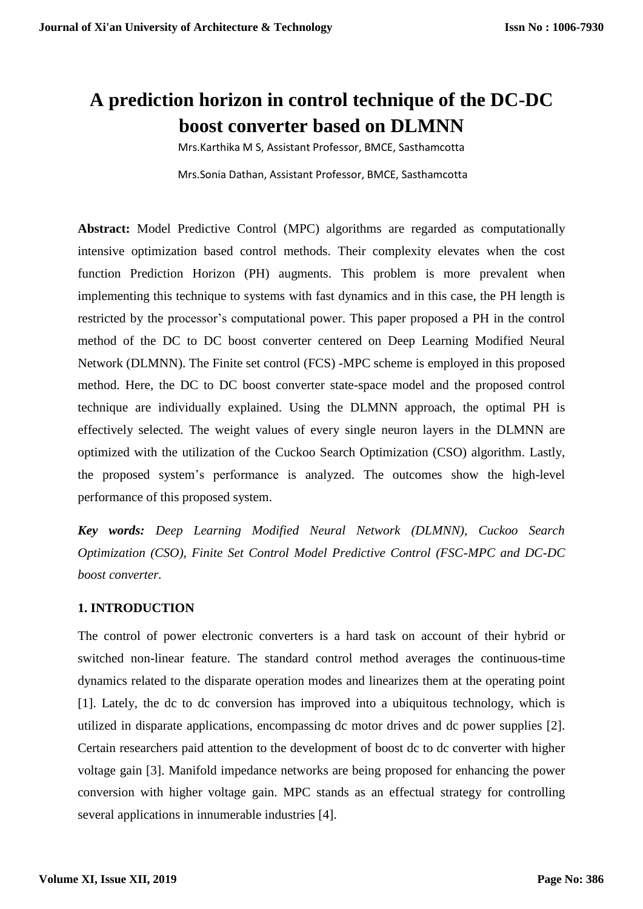# **A prediction horizon in control technique of the DC-DC boost converter based on DLMNN**

Mrs.Karthika M S, Assistant Professor, BMCE, Sasthamcotta Mrs.Sonia Dathan, Assistant Professor, BMCE, Sasthamcotta

**Abstract:** Model Predictive Control (MPC) algorithms are regarded as computationally intensive optimization based control methods. Their complexity elevates when the cost function Prediction Horizon (PH) augments. This problem is more prevalent when implementing this technique to systems with fast dynamics and in this case, the PH length is restricted by the processor's computational power. This paper proposed a PH in the control method of the DC to DC boost converter centered on Deep Learning Modified Neural Network (DLMNN). The Finite set control (FCS) -MPC scheme is employed in this proposed method. Here, the DC to DC boost converter state-space model and the proposed control technique are individually explained. Using the DLMNN approach, the optimal PH is effectively selected. The weight values of every single neuron layers in the DLMNN are optimized with the utilization of the Cuckoo Search Optimization (CSO) algorithm. Lastly, the proposed system's performance is analyzed. The outcomes show the high-level performance of this proposed system.

*Key words: Deep Learning Modified Neural Network (DLMNN), Cuckoo Search Optimization (CSO), Finite Set Control Model Predictive Control (FSC-MPC and DC-DC boost converter.*

# **1. INTRODUCTION**

The control of power electronic converters is a hard task on account of their hybrid or switched non-linear feature. The standard control method averages the continuous-time dynamics related to the disparate operation modes and linearizes them at the operating point [1]. Lately, the dc to dc conversion has improved into a ubiquitous technology, which is utilized in disparate applications, encompassing dc motor drives and dc power supplies [2]. Certain researchers paid attention to the development of boost dc to dc converter with higher voltage gain [3]. Manifold impedance networks are being proposed for enhancing the power conversion with higher voltage gain. MPC stands as an effectual strategy for controlling several applications in innumerable industries [4].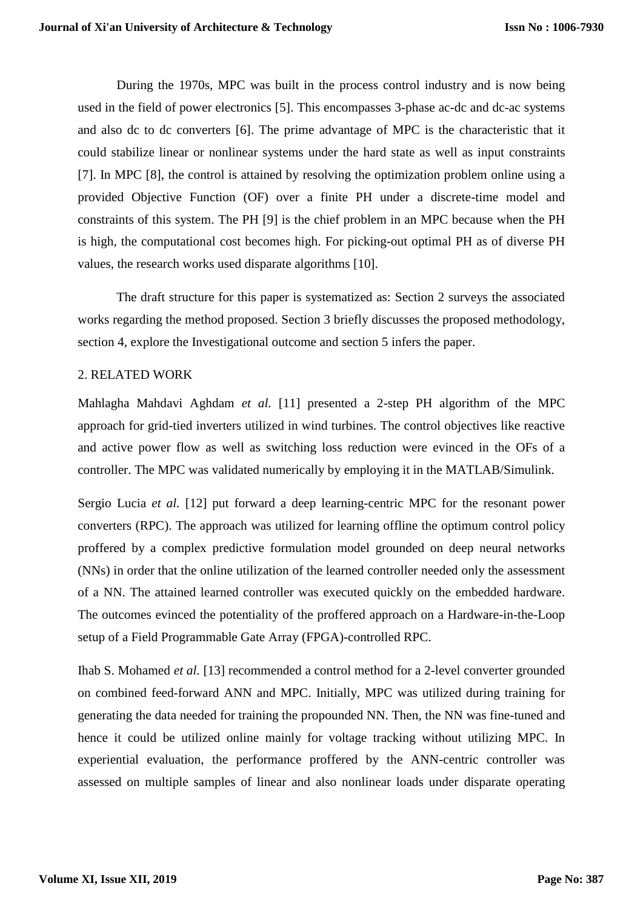During the 1970s, MPC was built in the process control industry and is now being used in the field of power electronics [5]. This encompasses 3-phase ac-dc and dc-ac systems and also dc to dc converters [6]. The prime advantage of MPC is the characteristic that it could stabilize linear or nonlinear systems under the hard state as well as input constraints [7]. In MPC [8], the control is attained by resolving the optimization problem online using a provided Objective Function (OF) over a finite PH under a discrete-time model and constraints of this system. The PH [9] is the chief problem in an MPC because when the PH is high, the computational cost becomes high. For picking-out optimal PH as of diverse PH values, the research works used disparate algorithms [10].

The draft structure for this paper is systematized as: Section 2 surveys the associated works regarding the method proposed. Section 3 briefly discusses the proposed methodology, section 4, explore the Investigational outcome and section 5 infers the paper.

#### 2. RELATED WORK

Mahlagha Mahdavi Aghdam *et al.* [11] presented a 2-step PH algorithm of the MPC approach for grid-tied inverters utilized in wind turbines. The control objectives like reactive and active power flow as well as switching loss reduction were evinced in the OFs of a controller. The MPC was validated numerically by employing it in the MATLAB/Simulink.

Sergio Lucia *et al.* [12] put forward a deep learning-centric MPC for the resonant power converters (RPC). The approach was utilized for learning offline the optimum control policy proffered by a complex predictive formulation model grounded on deep neural networks (NNs) in order that the online utilization of the learned controller needed only the assessment of a NN. The attained learned controller was executed quickly on the embedded hardware. The outcomes evinced the potentiality of the proffered approach on a Hardware-in-the-Loop setup of a Field Programmable Gate Array (FPGA)-controlled RPC.

Ihab S. Mohamed *et al.* [13] recommended a control method for a 2-level converter grounded on combined feed-forward ANN and MPC. Initially, MPC was utilized during training for generating the data needed for training the propounded NN. Then, the NN was fine-tuned and hence it could be utilized online mainly for voltage tracking without utilizing MPC. In experiential evaluation, the performance proffered by the ANN-centric controller was assessed on multiple samples of linear and also nonlinear loads under disparate operating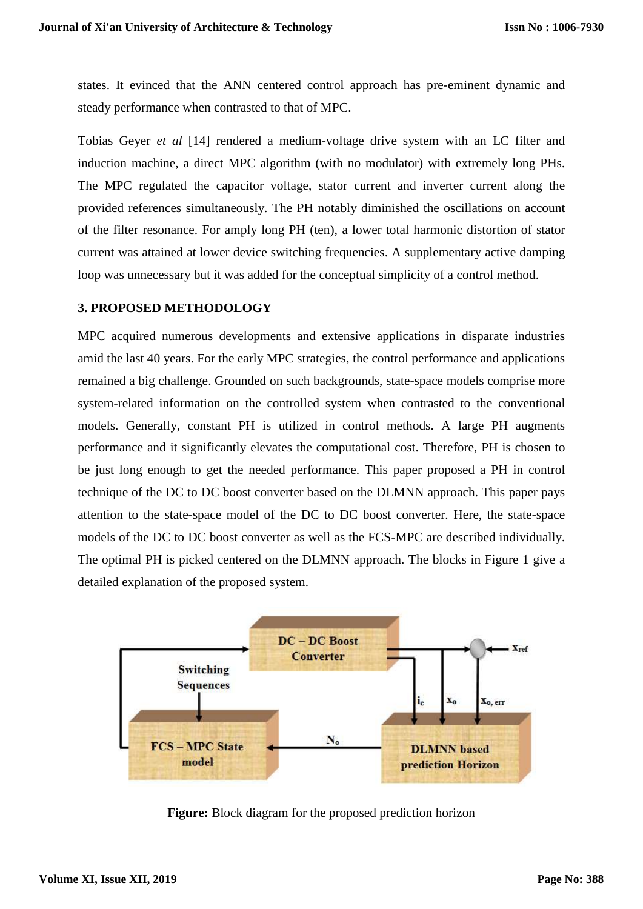states. It evinced that the ANN centered control approach has pre-eminent dynamic and steady performance when contrasted to that of MPC.

Tobias Geyer *et al* [14] rendered a medium-voltage drive system with an LC filter and induction machine, a direct MPC algorithm (with no modulator) with extremely long PHs. The MPC regulated the capacitor voltage, stator current and inverter current along the provided references simultaneously. The PH notably diminished the oscillations on account of the filter resonance. For amply long PH (ten), a lower total harmonic distortion of stator current was attained at lower device switching frequencies. A supplementary active damping loop was unnecessary but it was added for the conceptual simplicity of a control method.

## **3. PROPOSED METHODOLOGY**

MPC acquired numerous developments and extensive applications in disparate industries amid the last 40 years. For the early MPC strategies, the control performance and applications remained a big challenge. Grounded on such backgrounds, state-space models comprise more system-related information on the controlled system when contrasted to the conventional models. Generally, constant PH is utilized in control methods. A large PH augments performance and it significantly elevates the computational cost. Therefore, PH is chosen to be just long enough to get the needed performance. This paper proposed a PH in control technique of the DC to DC boost converter based on the DLMNN approach. This paper pays attention to the state-space model of the DC to DC boost converter. Here, the state-space models of the DC to DC boost converter as well as the FCS-MPC are described individually. The optimal PH is picked centered on the DLMNN approach. The blocks in Figure 1 give a detailed explanation of the proposed system.



**Figure:** Block diagram for the proposed prediction horizon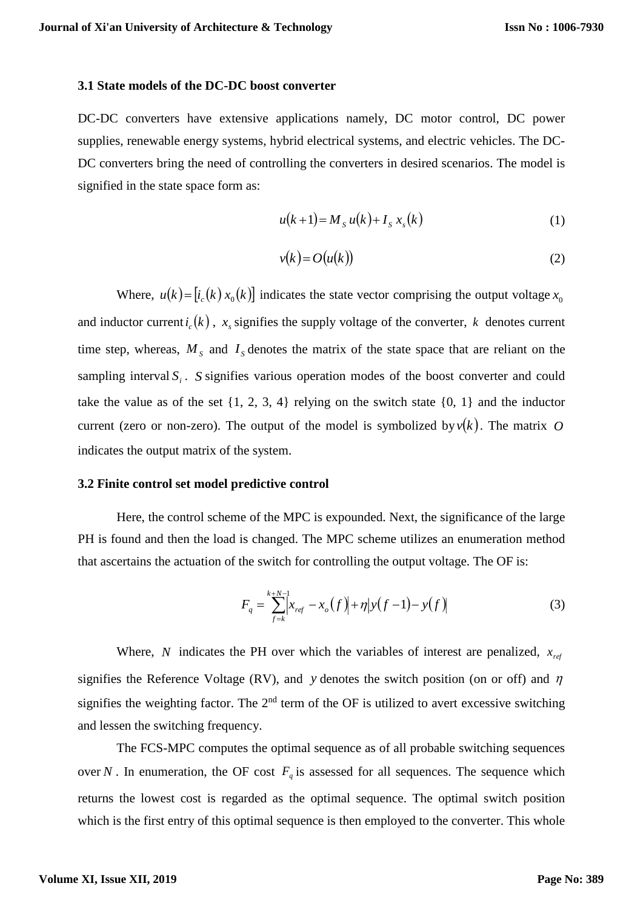#### **3.1 State models of the DC-DC boost converter**

DC-DC converters have extensive applications namely, DC motor control, DC power supplies, renewable energy systems, hybrid electrical systems, and electric vehicles. The DC-DC converters bring the need of controlling the converters in desired scenarios. The model is signified in the state space form as:

$$
u(k+1) = M_s u(k) + I_s x_s(k)
$$
 (1)

$$
v(k) = O(u(k))\tag{2}
$$

Where,  $u(k) = [i_c(k)x_0(k)]$  indicates the state vector comprising the output voltage  $x_c$ and inductor current  $i_c(k)$ ,  $x_s$  signifies the supply voltage of the converter, k denotes current time step, whereas,  $M<sub>S</sub>$  and  $I<sub>S</sub>$  denotes the matrix of the state space that are reliant on the sampling interval  $S_i$ . *S* signifies various operation modes of the boost converter and could take the value as of the set  $\{1, 2, 3, 4\}$  relying on the switch state  $\{0, 1\}$  and the inductor current (zero or non-zero). The output of the model is symbolized by  $v(k)$ . The matrix O indicates the output matrix of the system.

#### **3.2 Finite control set model predictive control**

Here, the control scheme of the MPC is expounded. Next, the significance of the large PH is found and then the load is changed. The MPC scheme utilizes an enumeration method that ascertains the actuation of the switch for controlling the output voltage. The OF is:

$$
F_q = \sum_{f=k}^{k+N-1} \left| x_{ref} - x_o(f) \right| + \eta \left| y(f-1) - y(f) \right| \tag{3}
$$

Where, N indicates the PH over which the variables of interest are penalized,  $x_{ref}$ signifies the Reference Voltage (RV), and y denotes the switch position (on or off) and  $\eta$ signifies the weighting factor. The  $2<sup>nd</sup>$  term of the OF is utilized to avert excessive switching and lessen the switching frequency.

The FCS-MPC computes the optimal sequence as of all probable switching sequences over N. In enumeration, the OF cost  $F_q$  is assessed for all sequences. The sequence which returns the lowest cost is regarded as the optimal sequence. The optimal switch position which is the first entry of this optimal sequence is then employed to the converter. This whole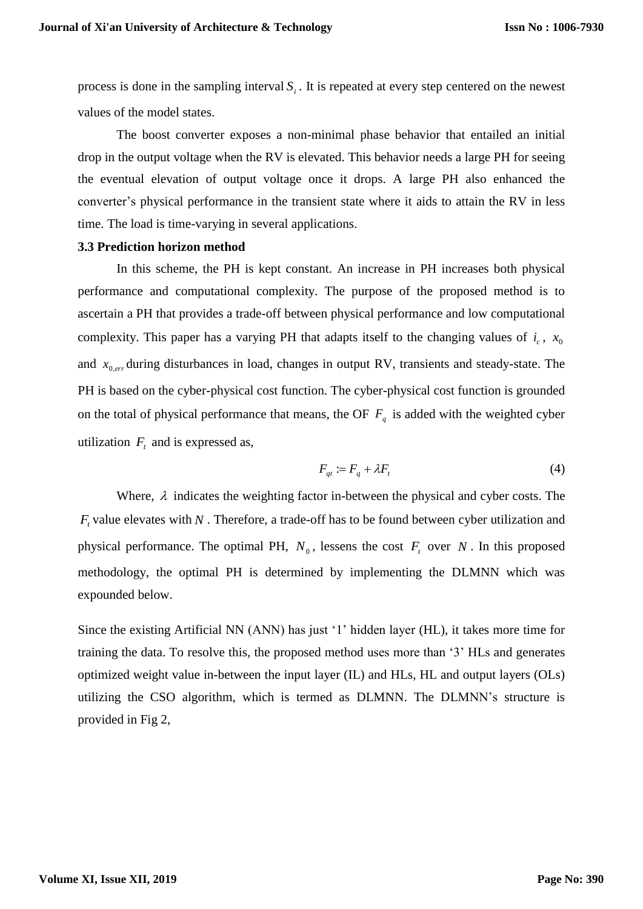process is done in the sampling interval  $S_i$ . It is repeated at every step centered on the newest values of the model states.

The boost converter exposes a non-minimal phase behavior that entailed an initial drop in the output voltage when the RV is elevated. This behavior needs a large PH for seeing the eventual elevation of output voltage once it drops. A large PH also enhanced the converter's physical performance in the transient state where it aids to attain the RV in less time. The load is time-varying in several applications.

#### **3.3 Prediction horizon method**

In this scheme, the PH is kept constant. An increase in PH increases both physical performance and computational complexity. The purpose of the proposed method is to ascertain a PH that provides a trade-off between physical performance and low computational complexity. This paper has a varying PH that adapts itself to the changing values of  $i_c$ ,  $x_c$ and  $x_{0,err}$  during disturbances in load, changes in output RV, transients and steady-state. The PH is based on the cyber-physical cost function. The cyber-physical cost function is grounded on the total of physical performance that means, the OF  $F_q$  is added with the weighted cyber utilization  $F_t$  and is expressed as,

$$
F_{qt} := F_q + \lambda F_t \tag{4}
$$

Where,  $\lambda$  indicates the weighting factor in-between the physical and cyber costs. The  $F<sub>t</sub>$  value elevates with N. Therefore, a trade-off has to be found between cyber utilization and physical performance. The optimal PH,  $N_0$ , lessens the cost  $F_t$  over N. In this proposed methodology, the optimal PH is determined by implementing the DLMNN which was expounded below.

Since the existing Artificial NN (ANN) has just '1' hidden layer (HL), it takes more time for training the data. To resolve this, the proposed method uses more than '3' HLs and generates optimized weight value in-between the input layer (IL) and HLs, HL and output layers (OLs) utilizing the CSO algorithm, which is termed as DLMNN. The DLMNN's structure is provided in Fig 2,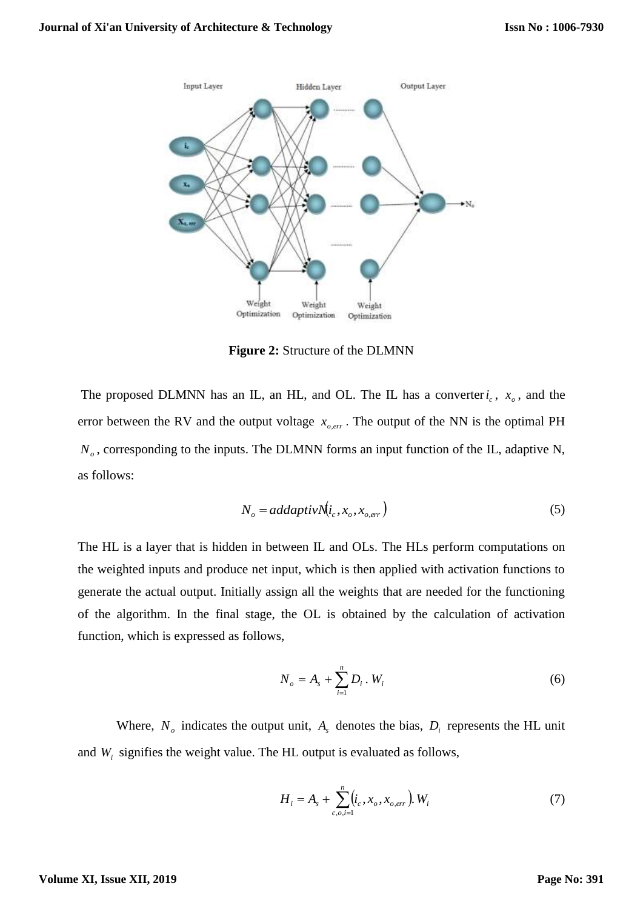

**Figure 2:** Structure of the DLMNN

The proposed DLMNN has an IL, an HL, and OL. The IL has a converter  $i_c$ ,  $x_o$ , and the error between the RV and the output voltage  $x_{o,err}$ . The output of the NN is the optimal PH  $N<sub>o</sub>$ , corresponding to the inputs. The DLMNN forms an input function of the IL, adaptive N, as follows:

$$
N_o = addaptive \dot{N}(i_c, x_o, x_{o,err})
$$
\n<sup>(5)</sup>

The HL is a layer that is hidden in between IL and OLs. The HLs perform computations on the weighted inputs and produce net input, which is then applied with activation functions to generate the actual output. Initially assign all the weights that are needed for the functioning of the algorithm. In the final stage, the OL is obtained by the calculation of activation function, which is expressed as follows,

$$
N_o = A_s + \sum_{i=1}^{n} D_i \cdot W_i
$$
 (6)

Where,  $N<sub>o</sub>$  indicates the output unit,  $A<sub>s</sub>$  denotes the bias,  $D<sub>i</sub>$  represents the HL unit and  $W_i$  signifies the weight value. The HL output is evaluated as follows,

$$
H_i = A_s + \sum_{c,o,i=1}^{n} (i_c, x_o, x_{o,err}), W_i
$$
 (7)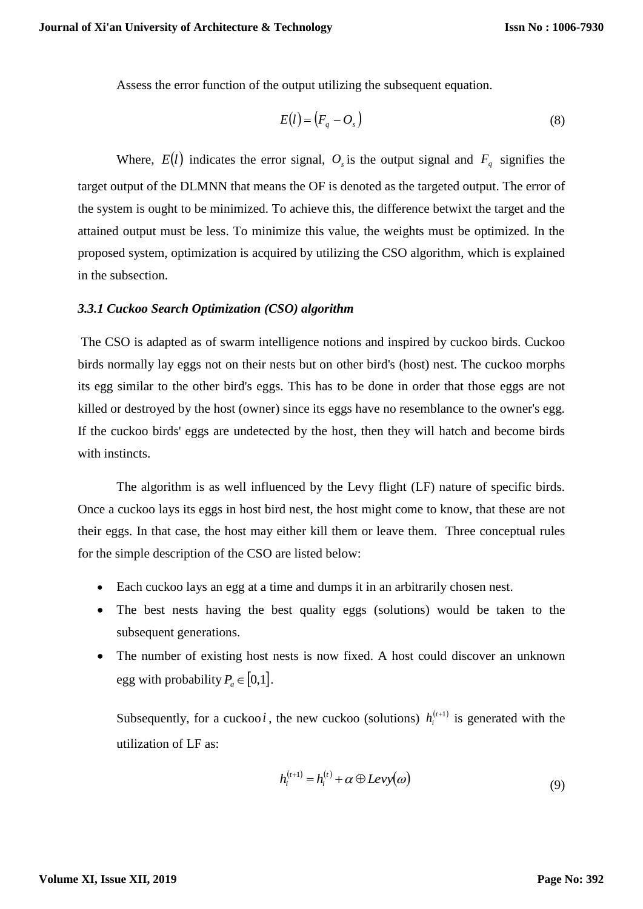Assess the error function of the output utilizing the subsequent equation.

$$
E(l) = (F_q - O_s)
$$
 (8)

Where,  $E(l)$  indicates the error signal,  $O<sub>s</sub>$  is the output signal and  $F<sub>q</sub>$  signifies the target output of the DLMNN that means the OF is denoted as the targeted output. The error of the system is ought to be minimized. To achieve this, the difference betwixt the target and the attained output must be less. To minimize this value, the weights must be optimized. In the proposed system, optimization is acquired by utilizing the CSO algorithm, which is explained in the subsection.

#### *3.3.1 Cuckoo Search Optimization (CSO) algorithm*

The CSO is adapted as of swarm intelligence notions and inspired by cuckoo birds. Cuckoo birds normally lay eggs not on their nests but on other bird's (host) nest. The cuckoo morphs its egg similar to the other bird's eggs. This has to be done in order that those eggs are not killed or destroyed by the host (owner) since its eggs have no resemblance to the owner's egg. If the cuckoo birds' eggs are undetected by the host, then they will hatch and become birds with instincts.

The algorithm is as well influenced by the Levy flight (LF) nature of specific birds. Once a cuckoo lays its eggs in host bird nest, the host might come to know, that these are not their eggs. In that case, the host may either kill them or leave them. Three conceptual rules for the simple description of the CSO are listed below:

- Each cuckoo lays an egg at a time and dumps it in an arbitrarily chosen nest.
- The best nests having the best quality eggs (solutions) would be taken to the subsequent generations.
- The number of existing host nests is now fixed. A host could discover an unknown egg with probability  $P_a \in [0,1]$ .

Subsequently, for a cuckoo *i*, the new cuckoo (solutions)  $h_i^{(t+1)}$  is generated with the utilization of LF as:

$$
h_i^{(t+1)} = h_i^{(t)} + \alpha \oplus Levy(\omega)
$$
\n(9)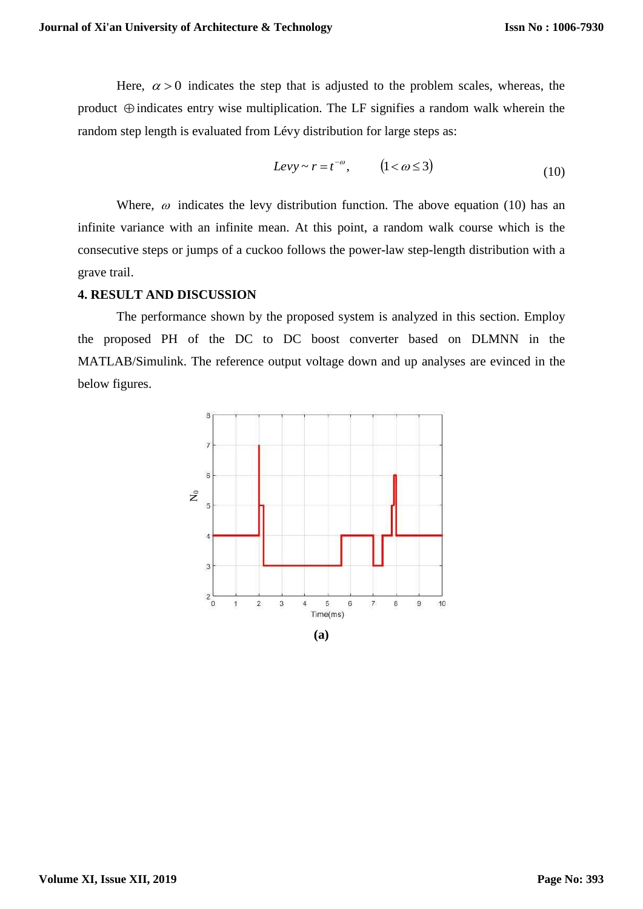Here,  $\alpha > 0$  indicates the step that is adjusted to the problem scales, whereas, the product  $\oplus$  indicates entry wise multiplication. The LF signifies a random walk wherein the random step length is evaluated from Lévy distribution for large steps as:

$$
Levy \sim r = t^{-\omega}, \qquad (1 < \omega \le 3)
$$
 (10)

Where,  $\omega$  indicates the levy distribution function. The above equation (10) has an infinite variance with an infinite mean. At this point, a random walk course which is the consecutive steps or jumps of a cuckoo follows the power-law step-length distribution with a grave trail.

### **4. RESULT AND DISCUSSION**

The performance shown by the proposed system is analyzed in this section. Employ the proposed PH of the DC to DC boost converter based on DLMNN in the MATLAB/Simulink. The reference output voltage down and up analyses are evinced in the below figures.

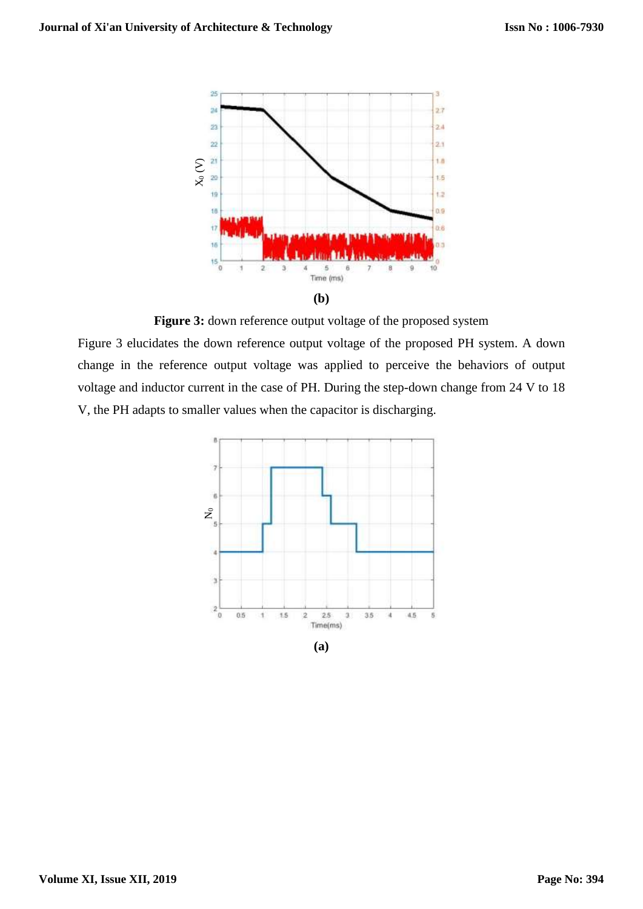

Figure 3: down reference output voltage of the proposed system

Figure 3 elucidates the down reference output voltage of the proposed PH system. A down change in the reference output voltage was applied to perceive the behaviors of output voltage and inductor current in the case of PH. During the step-down change from 24 V to 18 V, the PH adapts to smaller values when the capacitor is discharging.

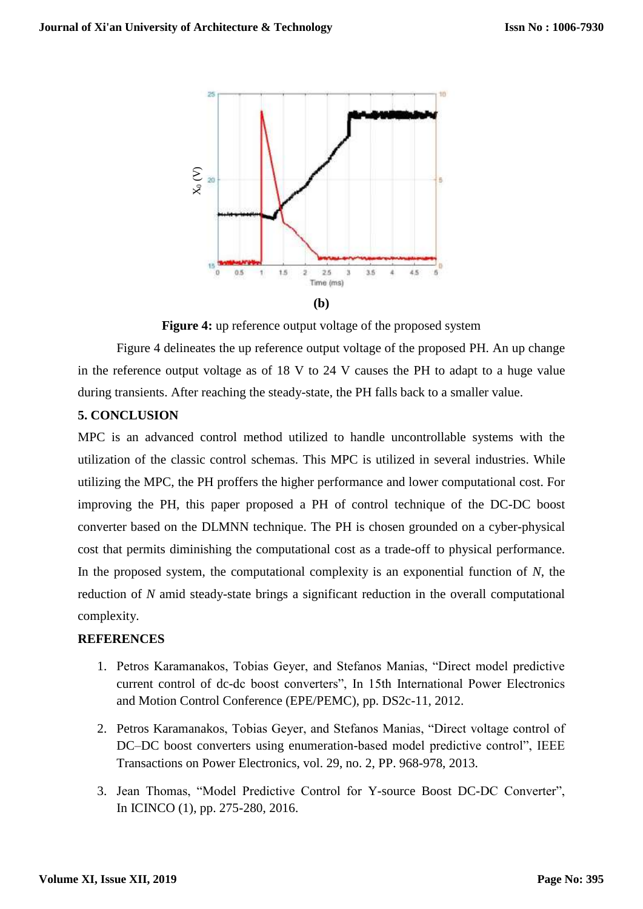

Figure 4: up reference output voltage of the proposed system

Figure 4 delineates the up reference output voltage of the proposed PH. An up change in the reference output voltage as of 18 V to 24 V causes the PH to adapt to a huge value during transients. After reaching the steady-state, the PH falls back to a smaller value.

## **5. CONCLUSION**

MPC is an advanced control method utilized to handle uncontrollable systems with the utilization of the classic control schemas. This MPC is utilized in several industries. While utilizing the MPC, the PH proffers the higher performance and lower computational cost. For improving the PH, this paper proposed a PH of control technique of the DC-DC boost converter based on the DLMNN technique. The PH is chosen grounded on a cyber-physical cost that permits diminishing the computational cost as a trade-off to physical performance. In the proposed system, the computational complexity is an exponential function of *N*, the reduction of *N* amid steady-state brings a significant reduction in the overall computational complexity.

## **REFERENCES**

- 1. Petros Karamanakos, Tobias Geyer, and Stefanos Manias, "Direct model predictive current control of dc-dc boost converters", In 15th International Power Electronics and Motion Control Conference (EPE/PEMC), pp. DS2c-11, 2012.
- 2. Petros Karamanakos, Tobias Geyer, and Stefanos Manias, "Direct voltage control of DC–DC boost converters using enumeration-based model predictive control", IEEE Transactions on Power Electronics, vol. 29, no. 2, PP. 968-978, 2013.
- 3. Jean Thomas, "Model Predictive Control for Y-source Boost DC-DC Converter", In ICINCO (1), pp. 275-280, 2016.